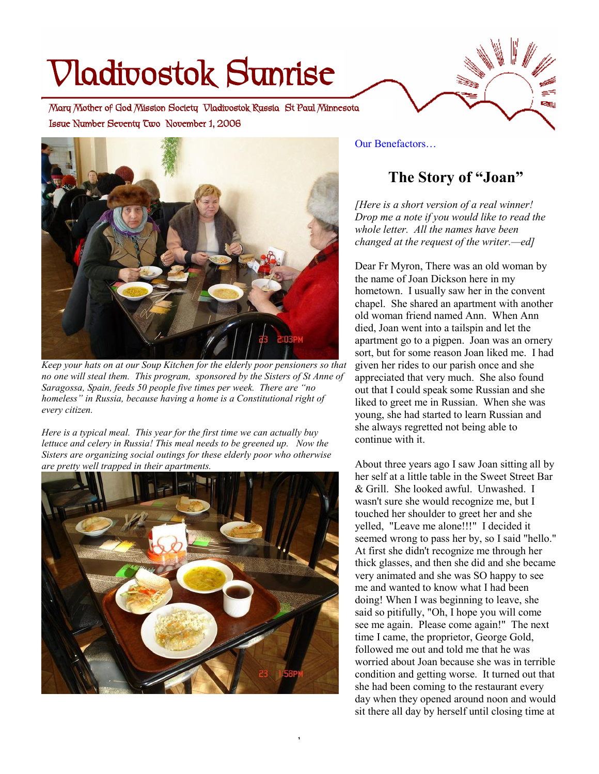# **Vladivostok Sunrise**

 **Issue Number Seventy Two November 1, 2006 Mary Mother of God Mission Society Vladivostok Russia St Paul Minnesota** 



*Keep your hats on at our Soup Kitchen for the elderly poor pensioners so that no one will steal them. This program, sponsored by the Sisters of St Anne of Saragossa, Spain, feeds 50 people five times per week. There are "no homeless" in Russia, because having a home is a Constitutional right of every citizen.* 

*Here is a typical meal. This year for the first time we can actually buy lettuce and celery in Russia! This meal needs to be greened up. Now the Sisters are organizing social outings for these elderly poor who otherwise are pretty well trapped in their apartments.* 



1

Our Benefactors…

## **The Story of "Joan"**

æ

*[Here is a short version of a real winner! Drop me a note if you would like to read the whole letter. All the names have been changed at the request of the writer.—ed]* 

Dear Fr Myron, There was an old woman by the name of Joan Dickson here in my hometown. I usually saw her in the convent chapel. She shared an apartment with another old woman friend named Ann. When Ann died, Joan went into a tailspin and let the apartment go to a pigpen. Joan was an ornery sort, but for some reason Joan liked me. I had given her rides to our parish once and she appreciated that very much. She also found out that I could speak some Russian and she liked to greet me in Russian. When she was young, she had started to learn Russian and she always regretted not being able to continue with it.

About three years ago I saw Joan sitting all by her self at a little table in the Sweet Street Bar & Grill. She looked awful. Unwashed. I wasn't sure she would recognize me, but I touched her shoulder to greet her and she yelled, "Leave me alone!!!" I decided it seemed wrong to pass her by, so I said "hello." At first she didn't recognize me through her thick glasses, and then she did and she became very animated and she was SO happy to see me and wanted to know what I had been doing! When I was beginning to leave, she said so pitifully, "Oh, I hope you will come see me again. Please come again!" The next time I came, the proprietor, George Gold, followed me out and told me that he was worried about Joan because she was in terrible condition and getting worse. It turned out that she had been coming to the restaurant every day when they opened around noon and would sit there all day by herself until closing time at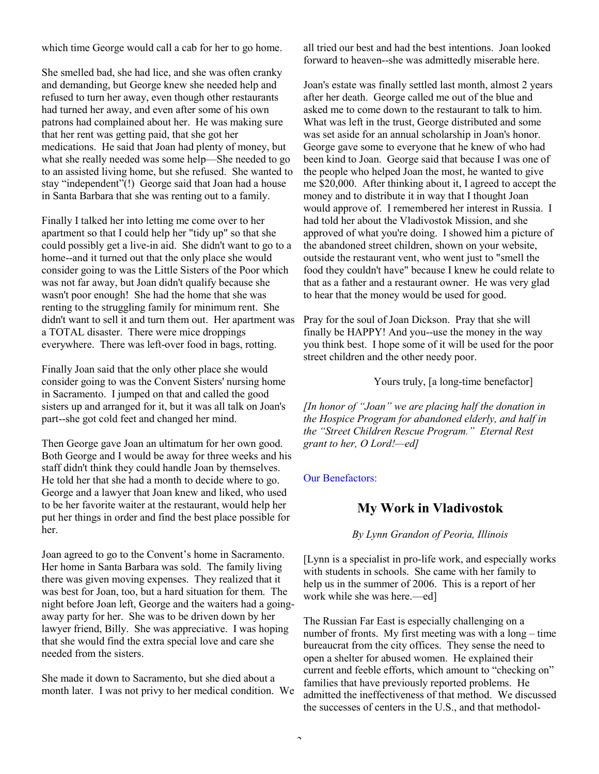which time George would call a cab for her to go home.

She smelled bad, she had lice, and she was often cranky and demanding, but George knew she needed help and refused to turn her away, even though other restaurants had turned her away, and even after some of his own patrons had complained about her. He was making sure that her rent was getting paid, that she got her medications. He said that Joan had plenty of money, but what she really needed was some help—She needed to go to an assisted living home, but she refused. She wanted to stay "independent"(!) George said that Joan had a house in Santa Barbara that she was renting out to a family.

Finally I talked her into letting me come over to her apartment so that I could help her "tidy up" so that she could possibly get a live-in aid. She didn't want to go to a home--and it turned out that the only place she would consider going to was the Little Sisters of the Poor which was not far away, but Joan didn't qualify because she wasn't poor enough! She had the home that she was renting to the struggling family for minimum rent. She didn't want to sell it and turn them out. Her apartment was a TOTAL disaster. There were mice droppings everywhere. There was left-over food in bags, rotting.

Finally Joan said that the only other place she would consider going to was the Convent Sisters' nursing home in Sacramento. I jumped on that and called the good sisters up and arranged for it, but it was all talk on Joan's part--she got cold feet and changed her mind.

Then George gave Joan an ultimatum for her own good. Both George and I would be away for three weeks and his staff didn't think they could handle Joan by themselves. He told her that she had a month to decide where to go. George and a lawyer that Joan knew and liked, who used to be her favorite waiter at the restaurant, would help her put her things in order and find the best place possible for her.

Joan agreed to go to the Convent's home in Sacramento. Her home in Santa Barbara was sold. The family living there was given moving expenses. They realized that it was best for Joan, too, but a hard situation for them. The night before Joan left, George and the waiters had a goingaway party for her. She was to be driven down by her lawyer friend, Billy. She was appreciative. I was hoping that she would find the extra special love and care she needed from the sisters.

She made it down to Sacramento, but she died about a month later. I was not privy to her medical condition. We all tried our best and had the best intentions. Joan looked forward to heaven--she was admittedly miserable here.

Joan's estate was finally settled last month, almost 2 years after her death. George called me out of the blue and asked me to come down to the restaurant to talk to him. What was left in the trust, George distributed and some was set aside for an annual scholarship in Joan's honor. George gave some to everyone that he knew of who had been kind to Joan. George said that because I was one of the people who helped Joan the most, he wanted to give me \$20,000. After thinking about it, I agreed to accept the money and to distribute it in way that I thought Joan would approve of. I remembered her interest in Russia. I had told her about the Vladivostok Mission, and she approved of what you're doing. I showed him a picture of the abandoned street children, shown on your website, outside the restaurant vent, who went just to "smell the food they couldn't have" because I knew he could relate to that as a father and a restaurant owner. He was very glad to hear that the money would be used for good.

Pray for the soul of Joan Dickson. Pray that she will finally be HAPPY! And you--use the money in the way you think best. I hope some of it will be used for the poor street children and the other needy poor.

Yours truly, [a long-time benefactor]

*[In honor of "Joan" we are placing half the donation in the Hospice Program for abandoned elderly, and half in the "Street Children Rescue Program." Eternal Rest grant to her, O Lord!—ed]* 

Our Benefactors:

### **My Work in Vladivostok**

*By Lynn Grandon of Peoria, Illinois* 

[Lynn is a specialist in pro-life work, and especially works with students in schools. She came with her family to help us in the summer of 2006. This is a report of her work while she was here.—ed]

The Russian Far East is especially challenging on a number of fronts. My first meeting was with a long – time bureaucrat from the city offices. They sense the need to open a shelter for abused women. He explained their current and feeble efforts, which amount to "checking on" families that have previously reported problems. He admitted the ineffectiveness of that method. We discussed the successes of centers in the U.S., and that methodol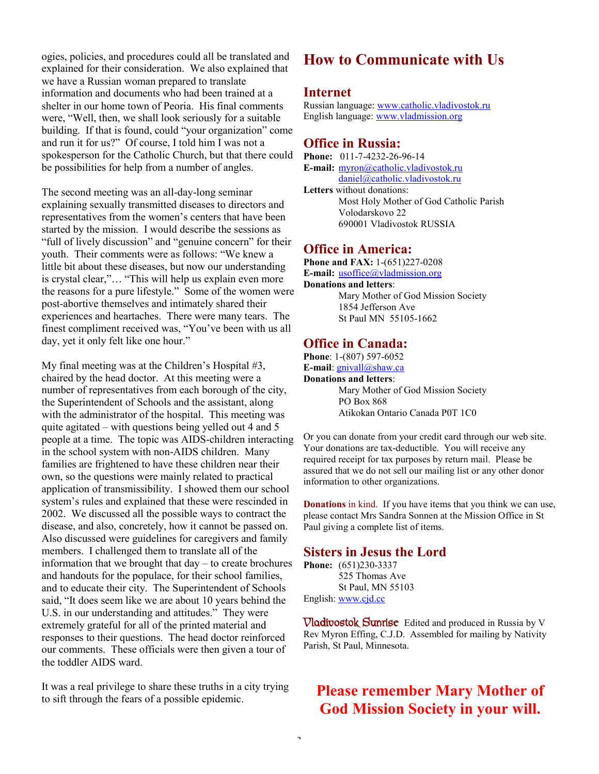ogies, policies, and procedures could all be translated and explained for their consideration. We also explained that we have a Russian woman prepared to translate information and documents who had been trained at a shelter in our home town of Peoria. His final comments were, "Well, then, we shall look seriously for a suitable building. If that is found, could "your organization" come and run it for us?" Of course, I told him I was not a spokesperson for the Catholic Church, but that there could be possibilities for help from a number of angles.

The second meeting was an all-day-long seminar explaining sexually transmitted diseases to directors and representatives from the women's centers that have been started by the mission. I would describe the sessions as "full of lively discussion" and "genuine concern" for their youth. Their comments were as follows: "We knew a little bit about these diseases, but now our understanding is crystal clear,"… "This will help us explain even more the reasons for a pure lifestyle." Some of the women were post-abortive themselves and intimately shared their experiences and heartaches. There were many tears. The finest compliment received was, "You've been with us all day, yet it only felt like one hour."

My final meeting was at the Children's Hospital #3, chaired by the head doctor. At this meeting were a number of representatives from each borough of the city, the Superintendent of Schools and the assistant, along with the administrator of the hospital. This meeting was quite agitated – with questions being yelled out 4 and 5 people at a time. The topic was AIDS-children interacting in the school system with non-AIDS children. Many families are frightened to have these children near their own, so the questions were mainly related to practical application of transmissibility. I showed them our school system's rules and explained that these were rescinded in 2002. We discussed all the possible ways to contract the disease, and also, concretely, how it cannot be passed on. Also discussed were guidelines for caregivers and family members. I challenged them to translate all of the information that we brought that day – to create brochures and handouts for the populace, for their school families, and to educate their city. The Superintendent of Schools said, "It does seem like we are about 10 years behind the U.S. in our understanding and attitudes." They were extremely grateful for all of the printed material and responses to their questions. The head doctor reinforced our comments. These officials were then given a tour of the toddler AIDS ward.

It was a real privilege to share these truths in a city trying to sift through the fears of a possible epidemic.

## **How to Communicate with Us**

#### **Internet**

Russian language: [www.catholic.vladivostok.ru](http://www.catholic.vladivostok.ru) English language: [www.vladmission.org](http://www.vladmission.org)

#### **Office in Russia:**

**Phone:** 011-7-4232-26-96-14 **E-mail:** [myron@catholic.vladivostok.ru](mailto:myron@catholic.vladivostok.ru) [daniel@catholic.vladivostok.ru](mailto:daniel@catholic.vladivostok.ru) **Letters** without donations: Most Holy Mother of God Catholic Parish Volodarskovo 22 690001 Vladivostok RUSSIA

#### **Office in America:**

**Phone and FAX:** 1-(651)227-0208 **E-mail:** [usoffice@vladmission.org](mailto:usoffice@vladmission.org) **Donations and letters**: Mary Mother of God Mission Society 1854 Jefferson Ave St Paul MN 55105-1662

#### **Office in Canada:**

**Phone**: 1-(807) 597-6052 **E-mail**: [gnivall@shaw.ca](mailto:gnivall@shaw.ca) **Donations and letters**: Mary Mother of God Mission Society PO Box 868 Atikokan Ontario Canada P0T 1C0

Or you can donate from your credit card through our web site. Your donations are tax-deductible. You will receive any required receipt for tax purposes by return mail. Please be assured that we do not sell our mailing list or any other donor information to other organizations.

**Donations** in kind. If you have items that you think we can use, please contact Mrs Sandra Sonnen at the Mission Office in St Paul giving a complete list of items.

#### **Sisters in Jesus the Lord**

**Phone:** (651)230-3337 525 Thomas Ave St Paul, MN 55103 English: [www.cjd.cc](http://www.cjd.cc)

**Vladivostok Sunrise** Edited and produced in Russia by V Rev Myron Effing, C.J.D. Assembled for mailing by Nativity Parish, St Paul, Minnesota.

## **Please remember Mary Mother of God Mission Society in your will.**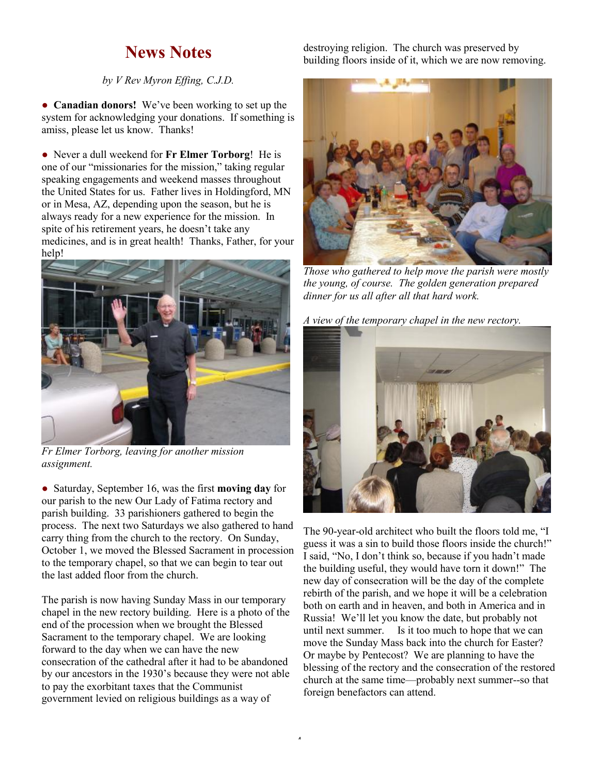# **News Notes**

#### *by V Rev Myron Effing, C.J.D.*

• **Canadian donors!** We've been working to set up the system for acknowledging your donations. If something is amiss, please let us know. Thanks!

● Never a dull weekend for **Fr Elmer Torborg**! He is one of our "missionaries for the mission," taking regular speaking engagements and weekend masses throughout the United States for us. Father lives in Holdingford, MN or in Mesa, AZ, depending upon the season, but he is always ready for a new experience for the mission. In spite of his retirement years, he doesn't take any medicines, and is in great health! Thanks, Father, for your help!



*Fr Elmer Torborg, leaving for another mission assignment.* 

● Saturday, September 16, was the first **moving day** for our parish to the new Our Lady of Fatima rectory and parish building. 33 parishioners gathered to begin the process. The next two Saturdays we also gathered to hand carry thing from the church to the rectory. On Sunday, October 1, we moved the Blessed Sacrament in procession to the temporary chapel, so that we can begin to tear out the last added floor from the church.

The parish is now having Sunday Mass in our temporary chapel in the new rectory building. Here is a photo of the end of the procession when we brought the Blessed Sacrament to the temporary chapel. We are looking forward to the day when we can have the new consecration of the cathedral after it had to be abandoned by our ancestors in the 1930's because they were not able to pay the exorbitant taxes that the Communist government levied on religious buildings as a way of

destroying religion. The church was preserved by building floors inside of it, which we are now removing.



*Those who gathered to help move the parish were mostly the young, of course. The golden generation prepared dinner for us all after all that hard work.* 

*A view of the temporary chapel in the new rectory.* 



The 90-year-old architect who built the floors told me, "I guess it was a sin to build those floors inside the church!" I said, "No, I don't think so, because if you hadn't made the building useful, they would have torn it down!" The new day of consecration will be the day of the complete rebirth of the parish, and we hope it will be a celebration both on earth and in heaven, and both in America and in Russia! We'll let you know the date, but probably not until next summer. Is it too much to hope that we can move the Sunday Mass back into the church for Easter? Or maybe by Pentecost? We are planning to have the blessing of the rectory and the consecration of the restored church at the same time—probably next summer--so that foreign benefactors can attend.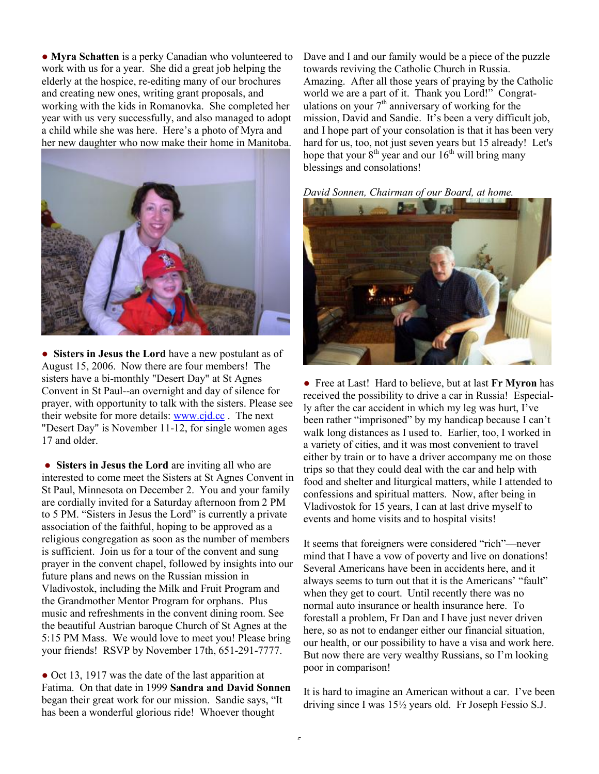● **Myra Schatten** is a perky Canadian who volunteered to work with us for a year. She did a great job helping the elderly at the hospice, re-editing many of our brochures and creating new ones, writing grant proposals, and working with the kids in Romanovka. She completed her year with us very successfully, and also managed to adopt a child while she was here. Here's a photo of Myra and her new daughter who now make their home in Manitoba.



● **Sisters in Jesus the Lord** have a new postulant as of August 15, 2006. Now there are four members! The sisters have a bi-monthly "Desert Day" at St Agnes Convent in St Paul--an overnight and day of silence for prayer, with opportunity to talk with the sisters. Please see their website for more details: [www.cjd.cc](http://www.cjd.cc) . The next "Desert Day" is November 11-12, for single women ages 17 and older.

● **Sisters in Jesus the Lord** are inviting all who are interested to come meet the Sisters at St Agnes Convent in St Paul, Minnesota on December 2. You and your family are cordially invited for a Saturday afternoon from 2 PM to 5 PM. "Sisters in Jesus the Lord" is currently a private association of the faithful, hoping to be approved as a religious congregation as soon as the number of members is sufficient. Join us for a tour of the convent and sung prayer in the convent chapel, followed by insights into our future plans and news on the Russian mission in Vladivostok, including the Milk and Fruit Program and the Grandmother Mentor Program for orphans. Plus music and refreshments in the convent dining room. See the beautiful Austrian baroque Church of St Agnes at the 5:15 PM Mass. We would love to meet you! Please bring your friends! RSVP by November 17th, 651-291-7777.

• Oct 13, 1917 was the date of the last apparition at Fatima. On that date in 1999 **Sandra and David Sonnen** began their great work for our mission. Sandie says, "It has been a wonderful glorious ride! Whoever thought

Dave and I and our family would be a piece of the puzzle towards reviving the Catholic Church in Russia. Amazing. After all those years of praying by the Catholic world we are a part of it. Thank you Lord!" Congratulations on your  $7<sup>th</sup>$  anniversary of working for the mission, David and Sandie. It's been a very difficult job, and I hope part of your consolation is that it has been very hard for us, too, not just seven years but 15 already! Let's hope that your  $8<sup>th</sup>$  year and our  $16<sup>th</sup>$  will bring many blessings and consolations!





● Free at Last! Hard to believe, but at last **Fr Myron** has received the possibility to drive a car in Russia! Especially after the car accident in which my leg was hurt, I've been rather "imprisoned" by my handicap because I can't walk long distances as I used to. Earlier, too, I worked in a variety of cities, and it was most convenient to travel either by train or to have a driver accompany me on those trips so that they could deal with the car and help with food and shelter and liturgical matters, while I attended to confessions and spiritual matters. Now, after being in Vladivostok for 15 years, I can at last drive myself to events and home visits and to hospital visits!

It seems that foreigners were considered "rich"—never mind that I have a vow of poverty and live on donations! Several Americans have been in accidents here, and it always seems to turn out that it is the Americans' "fault" when they get to court. Until recently there was no normal auto insurance or health insurance here. To forestall a problem, Fr Dan and I have just never driven here, so as not to endanger either our financial situation, our health, or our possibility to have a visa and work here. But now there are very wealthy Russians, so I'm looking poor in comparison!

It is hard to imagine an American without a car. I've been driving since I was 15½ years old. Fr Joseph Fessio S.J.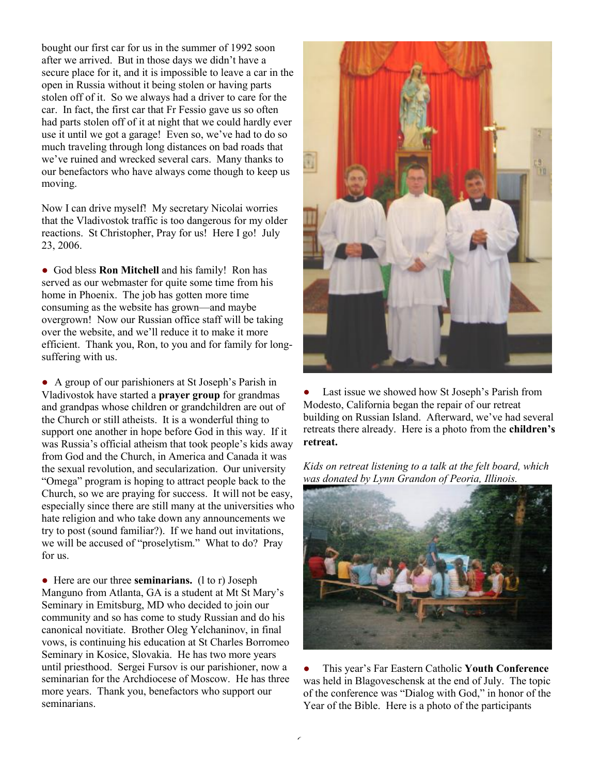bought our first car for us in the summer of 1992 soon after we arrived. But in those days we didn't have a secure place for it, and it is impossible to leave a car in the open in Russia without it being stolen or having parts stolen off of it. So we always had a driver to care for the car. In fact, the first car that Fr Fessio gave us so often had parts stolen off of it at night that we could hardly ever use it until we got a garage! Even so, we've had to do so much traveling through long distances on bad roads that we've ruined and wrecked several cars. Many thanks to our benefactors who have always come though to keep us moving.

Now I can drive myself! My secretary Nicolai worries that the Vladivostok traffic is too dangerous for my older reactions. St Christopher, Pray for us! Here I go! July 23, 2006.

● God bless **Ron Mitchell** and his family! Ron has served as our webmaster for quite some time from his home in Phoenix. The job has gotten more time consuming as the website has grown—and maybe overgrown! Now our Russian office staff will be taking over the website, and we'll reduce it to make it more efficient. Thank you, Ron, to you and for family for longsuffering with us.

● A group of our parishioners at St Joseph's Parish in Vladivostok have started a **prayer group** for grandmas and grandpas whose children or grandchildren are out of the Church or still atheists. It is a wonderful thing to support one another in hope before God in this way. If it was Russia's official atheism that took people's kids away from God and the Church, in America and Canada it was the sexual revolution, and secularization. Our university "Omega" program is hoping to attract people back to the Church, so we are praying for success. It will not be easy, especially since there are still many at the universities who hate religion and who take down any announcements we try to post (sound familiar?). If we hand out invitations, we will be accused of "proselytism." What to do? Pray for us.

● Here are our three **seminarians.** (l to r) Joseph Manguno from Atlanta, GA is a student at Mt St Mary's Seminary in Emitsburg, MD who decided to join our community and so has come to study Russian and do his canonical novitiate. Brother Oleg Yelchaninov, in final vows, is continuing his education at St Charles Borromeo Seminary in Kosice, Slovakia. He has two more years until priesthood. Sergei Fursov is our parishioner, now a seminarian for the Archdiocese of Moscow. He has three more years. Thank you, benefactors who support our seminarians.



• Last issue we showed how St Joseph's Parish from Modesto, California began the repair of our retreat building on Russian Island. Afterward, we've had several retreats there already. Here is a photo from the **children's retreat.**

*Kids on retreat listening to a talk at the felt board, which was donated by Lynn Grandon of Peoria, Illinois.* 



● This year's Far Eastern Catholic **Youth Conference** was held in Blagoveschensk at the end of July. The topic of the conference was "Dialog with God," in honor of the Year of the Bible. Here is a photo of the participants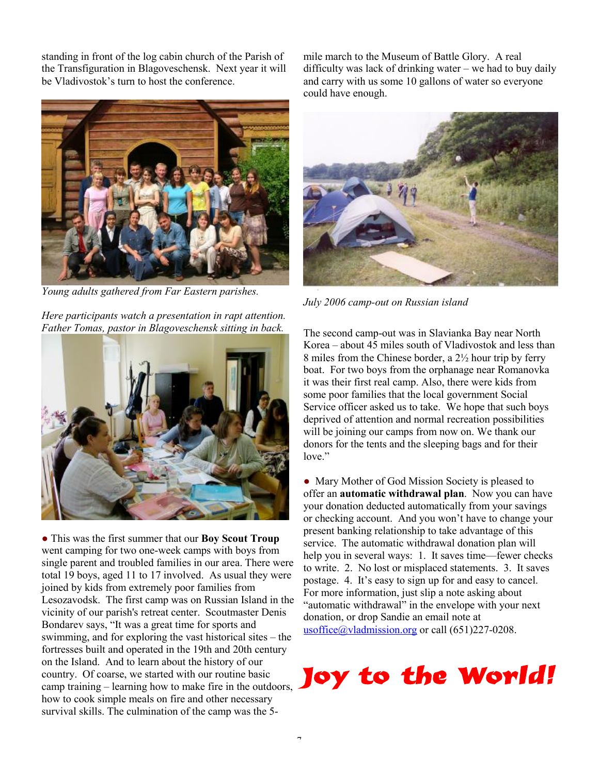standing in front of the log cabin church of the Parish of the Transfiguration in Blagoveschensk. Next year it will be Vladivostok's turn to host the conference.



*Young adults gathered from Far Eastern parishes.* 

*Here participants watch a presentation in rapt attention. Father Tomas, pastor in Blagoveschensk sitting in back.* 



● This was the first summer that our **Boy Scout Troup** went camping for two one-week camps with boys from single parent and troubled families in our area. There were total 19 boys, aged 11 to 17 involved. As usual they were joined by kids from extremely poor families from Lesozavodsk. The first camp was on Russian Island in the vicinity of our parish's retreat center. Scoutmaster Denis Bondarev says, "It was a great time for sports and swimming, and for exploring the vast historical sites – the fortresses built and operated in the 19th and 20th century on the Island. And to learn about the history of our country. Of coarse, we started with our routine basic camp training – learning how to make fire in the outdoors, how to cook simple meals on fire and other necessary survival skills. The culmination of the camp was the 5-

mile march to the Museum of Battle Glory. A real difficulty was lack of drinking water – we had to buy daily and carry with us some 10 gallons of water so everyone could have enough.



*July 2006 camp-out on Russian island* 

The second camp-out was in Slavianka Bay near North Korea – about 45 miles south of Vladivostok and less than 8 miles from the Chinese border, a 2½ hour trip by ferry boat. For two boys from the orphanage near Romanovka it was their first real camp. Also, there were kids from some poor families that the local government Social Service officer asked us to take. We hope that such boys deprived of attention and normal recreation possibilities will be joining our camps from now on. We thank our donors for the tents and the sleeping bags and for their love."

• Mary Mother of God Mission Society is pleased to offer an **automatic withdrawal plan**. Now you can have your donation deducted automatically from your savings or checking account. And you won't have to change your present banking relationship to take advantage of this service. The automatic withdrawal donation plan will help you in several ways: 1. It saves time—fewer checks to write. 2. No lost or misplaced statements. 3. It saves postage. 4. It's easy to sign up for and easy to cancel. For more information, just slip a note asking about "automatic withdrawal" in the envelope with your next donation, or drop Sandie an email note at [usoffice@vladmission.org](mailto:usoffice@vladmission.org) or call (651)227-0208.